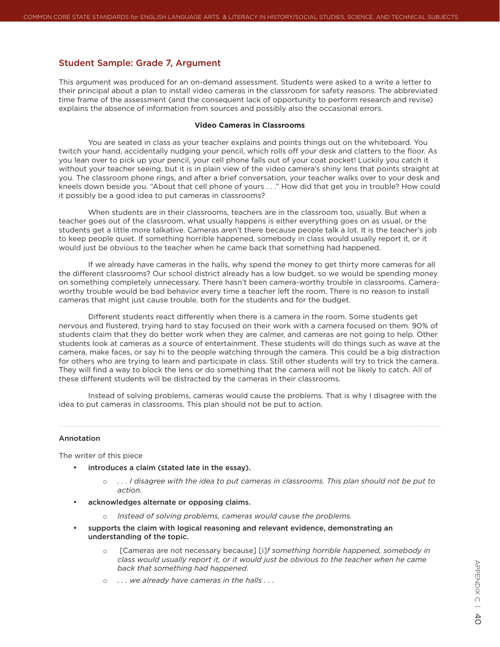## Student Sample: Grade 7, Argument

This argument was produced for an on-demand assessment. Students were asked to a write a letter to their principal about a plan to install video cameras in the classroom for safety reasons. The abbreviated time frame of the assessment (and the consequent lack of opportunity to perform research and revise) explains the absence of information from sources and possibly also the occasional errors.

## **Video Cameras in Classrooms**

You are seated in class as your teacher explains and points things out on the whiteboard. You twitch your hand, accidentally nudging your pencil, which rolls off your desk and clatters to the floor. As you lean over to pick up your pencil, your cell phone falls out of your coat pocket! Luckily you catch it without your teacher seeing, but it is in plain view of the video camera's shiny lens that points straight at you. The classroom phone rings, and after a brief conversation, your teacher walks over to your desk and kneels down beside you. "About that cell phone of yours . . ." How did that get you in trouble? How could it possibly be a good idea to put cameras in classrooms?

When students are in their classrooms, teachers are in the classroom too, usually. But when a teacher goes out of the classroom, what usually happens is either everything goes on as usual, or the students get a little more talkative. Cameras aren't there because people talk a lot. It is the teacher's job to keep people quiet. If something horrible happened, somebody in class would usually report it, or it would just be obvious to the teacher when he came back that something had happened.

If we already have cameras in the halls, why spend the money to get thirty more cameras for all the different classrooms? Our school district already has a low budget, so we would be spending money on something completely unnecessary. There hasn't been camera-worthy trouble in classrooms. Cameraworthy trouble would be bad behavior every time a teacher left the room. There is no reason to install cameras that might just cause trouble, both for the students and for the budget.

Different students react differently when there is a camera in the room. Some students get nervous and flustered, trying hard to stay focused on their work with a camera focused on them. 90% of students claim that they do better work when they are calmer, and cameras are not going to help. Other students look at cameras as a source of entertainment. These students will do things such as wave at the camera, make faces, or say hi to the people watching through the camera. This could be a big distraction for others who are trying to learn and participate in class. Still other students will try to trick the camera. They will find a way to block the lens or do something that the camera will not be likely to catch. All of these different students will be distracted by the cameras in their classrooms.

Instead of solving problems, cameras would cause the problems. That is why I disagree with the idea to put cameras in classrooms. This plan should not be put to action.

## Annotation

The writer of this piece

- introduces a claim (stated late in the essay).
	- o *. . . I disagree with the idea to put cameras in classrooms. This plan should not be put to action.*
- acknowledges alternate or opposing claims.
	- Instead of solving problems, cameras would cause the problems.
- • supports the claim with logical reasoning and relevant evidence, demonstrating an understanding of the topic.
	- o [Cameras are not necessary because] [i]*f something horrible happened, somebody in class would usually report it, or it would just be obvious to the teacher when he came back that something had happened.*
	- o *. . . we already have cameras in the halls . . .*